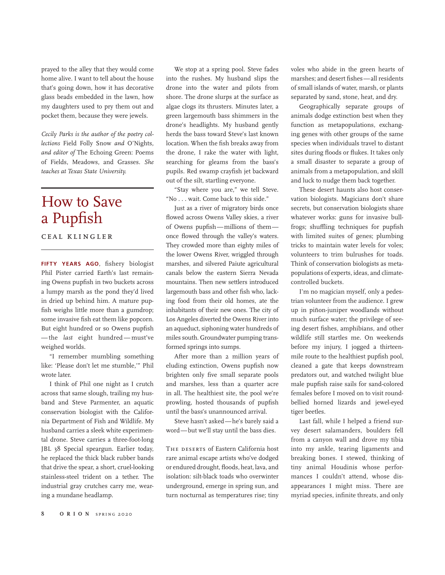prayed to the alley that they would come home alive. I want to tell about the house that's going down, how it has decorative glass beads embedded in the lawn, how my daughters used to pry them out and pocket them, because they were jewels.

*Cecily Parks is the author of the poetry collections* Field Folly Snow *and* O'Nights*, and editor of* The Echoing Green: Poems of Fields, Meadows, and Grasses*. She teaches at Texas State University.*

## How to Save a Pupfish

ceal klingler

**FIFTY YEARS AGO**, fishery biologist Phil Pister carried Earth's last remaining Owens pupfish in two buckets across a lumpy marsh as the pond they'd lived in dried up behind him. A mature pupfish weighs little more than a gumdrop; some invasive fish eat them like popcorn. But eight hundred or so Owens pupfish —the *last* eight hundred—must've weighed worlds.

"I remember mumbling something like: 'Please don't let me stumble,'" Phil wrote later.

I think of Phil one night as I crutch across that same slough, trailing my husband and Steve Parmenter, an aquatic conservation biologist with the California Department of Fish and Wildlife. My husband carries a sleek white experimental drone. Steve carries a three-foot-long JBL 38 Special speargun. Earlier today, he replaced the thick black rubber bands that drive the spear, a short, cruel-looking stainless-steel trident on a tether. The industrial gray crutches carry me, wearing a mundane headlamp.

We stop at a spring pool. Steve fades into the rushes. My husband slips the drone into the water and pilots from shore. The drone slurps at the surface as algae clogs its thrusters. Minutes later, a green largemouth bass shimmers in the drone's headlights. My husband gently herds the bass toward Steve's last known location. When the fish breaks away from the drone, I rake the water with light, searching for gleams from the bass's pupils. Red swamp crayfish jet backward out of the silt, startling everyone.

"Stay where you are," we tell Steve. "No . . . wait. Come back to this side."

Just as a river of migratory birds once flowed across Owens Valley skies, a river of Owens pupfish—millions of them once flowed through the valley's waters. They crowded more than eighty miles of the lower Owens River, wriggled through marshes, and silvered Paiute agricultural canals below the eastern Sierra Nevada mountains. Then new settlers introduced largemouth bass and other fish who, lacking food from their old homes, ate the inhabitants of their new ones. The city of Los Angeles diverted the Owens River into an aqueduct, siphoning water hundreds of miles south. Groundwater pumping transformed springs into sumps.

After more than 2 million years of eluding extinction, Owens pupfish now brighten only five small separate pools and marshes, less than a quarter acre in all. The healthiest site, the pool we're prowling, hosted thousands of pupfish until the bass's unannounced arrival.

Steve hasn't asked—he's barely said a word—but we'll stay until the bass dies.

The deserts of Eastern California host rare animal escape artists who've dodged or endured drought, floods, heat, lava, and isolation: silt-black toads who overwinter underground, emerge in spring sun, and turn nocturnal as temperatures rise; tiny voles who abide in the green hearts of marshes; and desert fishes—all residents of small islands of water, marsh, or plants separated by sand, stone, heat, and dry.

Geographically separate groups of animals dodge extinction best when they function as metapopulations, exchanging genes with other groups of the same species when individuals travel to distant sites during floods or flukes. It takes only a small disaster to separate a group of animals from a metapopulation, and skill and luck to nudge them back together.

These desert haunts also host conservation biologists. Magicians don't share secrets, but conservation biologists share whatever works: guns for invasive bullfrogs; shuffling techniques for pupfish with limited suites of genes; plumbing tricks to maintain water levels for voles; volunteers to trim bulrushes for toads. Think of conservation biologists as metapopulations of experts, ideas, and climatecontrolled buckets.

I'm no magician myself, only a pedestrian volunteer from the audience. I grew up in piñon-juniper woodlands without much surface water; the privilege of seeing desert fishes, amphibians, and other wildlife still startles me. On weekends before my injury, I jogged a thirteenmile route to the healthiest pupfish pool, cleaned a gate that keeps downstream predators out, and watched twilight blue male pupfish raise sails for sand-colored females before I moved on to visit roundbellied horned lizards and jewel-eyed tiger beetles.

Last fall, while I helped a friend survey desert salamanders, boulders fell from a canyon wall and drove my tibia into my ankle, tearing ligaments and breaking bones. I stewed, thinking of tiny animal Houdinis whose performances I couldn't attend, whose disappearances I might miss. There are myriad species, infinite threats, and only